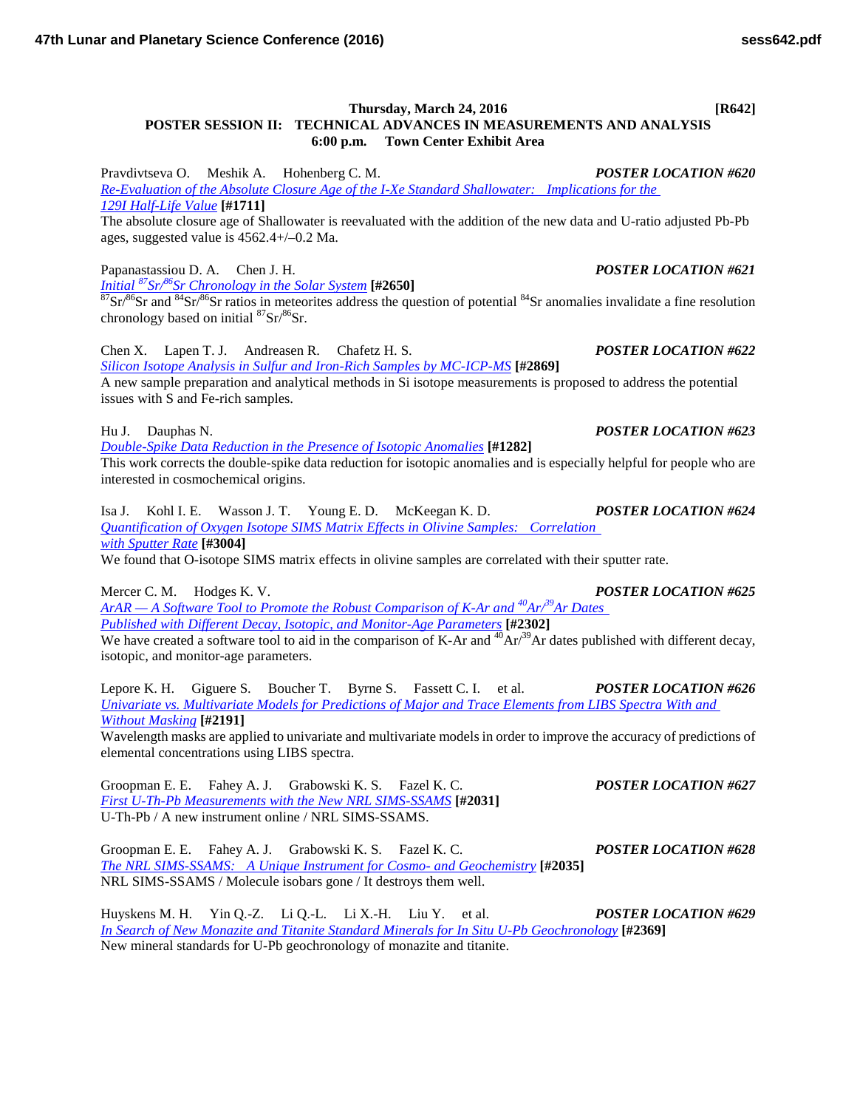Pravdivtseva O. Meshik A. Hohenberg C. M. *POSTER LOCATION #620 [Re-Evaluation of the Absolute Closure Age of the I-Xe Standard Shallowater: Implications for the](http://www.hou.usra.edu/meetings/lpsc2016/pdf/1711.pdf)  129I [Half-Life](http://www.hou.usra.edu/meetings/lpsc2016/pdf/1711.pdf) Value* **[#1711]**

The absolute closure age of Shallowater is reevaluated with the addition of the new data and U-ratio adjusted Pb-Pb ages, suggested value is 4562.4+/–0.2 Ma.

Papanastassiou D. A. Chen J. H. *POSTER LOCATION #621*<br> *Initial* <sup>87</sup>Sr/<sup>86</sup>Sr Chronology in the Solar System [#2650]

<sup>87</sup>Sr/<sup>86</sup>Sr and <sup>84</sup>Sr/<sup>86</sup>Sr ratios in meteorites address the question of potential <sup>84</sup>Sr anomalies invalidate a fine resolution chronology based on initial  ${}^{87}Sr/{}^{86}Sr$ .

Chen X. Lapen T. J. Andreasen R. Chafetz H. S. *POSTER LOCATION #622 [Silicon Isotope Analysis in Sulfur and Iron-Rich Samples by](http://www.hou.usra.edu/meetings/lpsc2016/pdf/2869.pdf) MC-ICP-MS* **[#2869]** A new sample preparation and analytical methods in Si isotope measurements is proposed to address the potential

issues with S and Fe-rich samples.

Hu J. Dauphas N. *POSTER LOCATION #623*

*[Double-Spike Data Reduction in the Presence of Isotopic](http://www.hou.usra.edu/meetings/lpsc2016/pdf/1282.pdf) Anomalies* **[#1282]**

This work corrects the double-spike data reduction for isotopic anomalies and is especially helpful for people who are interested in cosmochemical origins.

Isa J. Kohl I. E. Wasson J. T. Young E. D. McKeegan K. D. *POSTER LOCATION #624 [Quantification of Oxygen Isotope SIMS Matrix Effects in Olivine Samples: Correlation](http://www.hou.usra.edu/meetings/lpsc2016/pdf/3004.pdf)  [with Sputter](http://www.hou.usra.edu/meetings/lpsc2016/pdf/3004.pdf) Rate* **[#3004]**

We found that O-isotope SIMS matrix effects in olivine samples are correlated with their sputter rate.

Mercer C. M. Hodges K. V. *POSTER LOCATION #625 ArAR — [A Software Tool to Promote the Robust Comparison of K-Ar and](http://www.hou.usra.edu/meetings/lpsc2016/pdf/2302.pdf) 40Ar/39Ar Dates [Published with Different Decay, Isotopic, and Monitor-Age](http://www.hou.usra.edu/meetings/lpsc2016/pdf/2302.pdf) Parameters* **[#2302]** We have created a software tool to aid in the comparison of K-Ar and  ${}^{40}\text{Ar}^{39}\text{Ar}$  dates published with different decay, isotopic, and monitor-age parameters.

Lepore K. H. Giguere S. Boucher T. Byrne S. Fassett C. I. et al. *POSTER LOCATION #626 [Univariate vs. Multivariate Models for Predictions of Major and Trace Elements from LIBS Spectra With and](http://www.hou.usra.edu/meetings/lpsc2016/pdf/2191.pdf)  Without [Masking](http://www.hou.usra.edu/meetings/lpsc2016/pdf/2191.pdf)* **[#2191]**

Wavelength masks are applied to univariate and multivariate models in order to improve the accuracy of predictions of elemental concentrations using LIBS spectra.

Groopman E. E. Fahey A. J. Grabowski K. S. Fazel K. C. *POSTER LOCATION #627 [First U-Th-Pb Measurements with the New NRL](http://www.hou.usra.edu/meetings/lpsc2016/pdf/2031.pdf) SIMS-SSAMS* **[#2031]** U-Th-Pb / A new instrument online / NRL SIMS-SSAMS.

Groopman E. E. Fahey A. J. Grabowski K. S. Fazel K. C. *POSTER LOCATION #628 [The NRL SIMS-SSAMS: A Unique Instrument for Cosmo-](http://www.hou.usra.edu/meetings/lpsc2016/pdf/2035.pdf) and Geochemistry* **[#2035]** NRL SIMS-SSAMS / Molecule isobars gone / It destroys them well.

Huyskens M. H. Yin Q.-Z. Li Q.-L. Li X.-H. Liu Y. et al. *POSTER LOCATION #629 [In Search of New Monazite and Titanite Standard Minerals for In Situ U-Pb](http://www.hou.usra.edu/meetings/lpsc2016/pdf/2369.pdf) Geochronology* **[#2369]** New mineral standards for U-Pb geochronology of monazite and titanite.